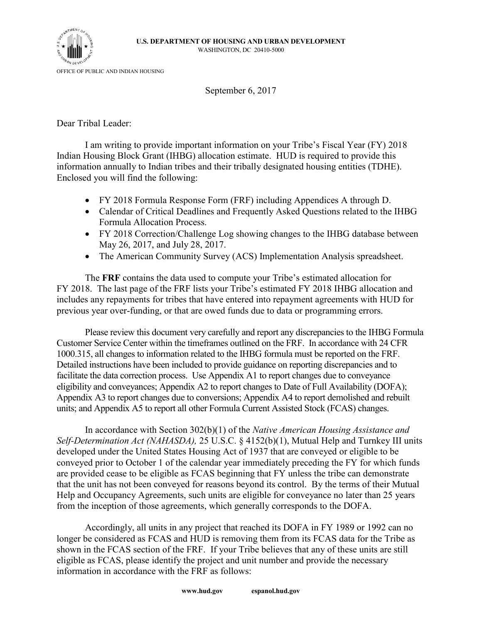

September 6, 2017

Dear Tribal Leader:

I am writing to provide important information on your Tribe's Fiscal Year (FY) 2018 Indian Housing Block Grant (IHBG) allocation estimate. HUD is required to provide this information annually to Indian tribes and their tribally designated housing entities (TDHE). Enclosed you will find the following:

- FY 2018 Formula Response Form (FRF) including Appendices A through D.
- Calendar of Critical Deadlines and Frequently Asked Questions related to the IHBG Formula Allocation Process.
- FY 2018 Correction/Challenge Log showing changes to the IHBG database between May 26, 2017, and July 28, 2017.
- The American Community Survey (ACS) Implementation Analysis spreadsheet.

The **FRF** contains the data used to compute your Tribe's estimated allocation for FY 2018. The last page of the FRF lists your Tribe's estimated FY 2018 IHBG allocation and includes any repayments for tribes that have entered into repayment agreements with HUD for previous year over-funding, or that are owed funds due to data or programming errors.

Please review this document very carefully and report any discrepancies to the IHBG Formula Customer Service Center within the timeframes outlined on the FRF. In accordance with 24 CFR 1000.315, all changes to information related to the IHBG formula must be reported on the FRF. Detailed instructions have been included to provide guidance on reporting discrepancies and to facilitate the data correction process. Use Appendix A1 to report changes due to conveyance eligibility and conveyances; Appendix A2 to report changes to Date of Full Availability (DOFA); Appendix A3 to report changes due to conversions; Appendix A4 to report demolished and rebuilt units; and Appendix A5 to report all other Formula Current Assisted Stock (FCAS) changes.

In accordance with Section 302(b)(1) of the *Native American Housing Assistance and Self-Determination Act (NAHASDA),* 25 U.S.C. § 4152(b)(1), Mutual Help and Turnkey III units developed under the United States Housing Act of 1937 that are conveyed or eligible to be conveyed prior to October 1 of the calendar year immediately preceding the FY for which funds are provided cease to be eligible as FCAS beginning that FY unless the tribe can demonstrate that the unit has not been conveyed for reasons beyond its control. By the terms of their Mutual Help and Occupancy Agreements, such units are eligible for conveyance no later than 25 years from the inception of those agreements, which generally corresponds to the DOFA.

Accordingly, all units in any project that reached its DOFA in FY 1989 or 1992 can no longer be considered as FCAS and HUD is removing them from its FCAS data for the Tribe as shown in the FCAS section of the FRF. If your Tribe believes that any of these units are still eligible as FCAS, please identify the project and unit number and provide the necessary information in accordance with the FRF as follows: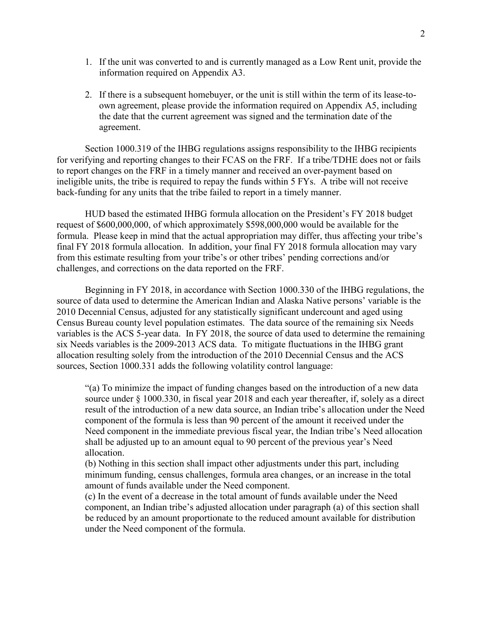- 1. If the unit was converted to and is currently managed as a Low Rent unit, provide the information required on Appendix A3.
- 2. If there is a subsequent homebuyer, or the unit is still within the term of its lease-toown agreement, please provide the information required on Appendix A5, including the date that the current agreement was signed and the termination date of the agreement.

Section 1000.319 of the IHBG regulations assigns responsibility to the IHBG recipients for verifying and reporting changes to their FCAS on the FRF. If a tribe/TDHE does not or fails to report changes on the FRF in a timely manner and received an over-payment based on ineligible units, the tribe is required to repay the funds within 5 FYs. A tribe will not receive back-funding for any units that the tribe failed to report in a timely manner.

HUD based the estimated IHBG formula allocation on the President's FY 2018 budget request of \$600,000,000, of which approximately \$598,000,000 would be available for the formula. Please keep in mind that the actual appropriation may differ, thus affecting your tribe's final FY 2018 formula allocation. In addition, your final FY 2018 formula allocation may vary from this estimate resulting from your tribe's or other tribes' pending corrections and/or challenges, and corrections on the data reported on the FRF.

Beginning in FY 2018, in accordance with Section 1000.330 of the IHBG regulations, the source of data used to determine the American Indian and Alaska Native persons' variable is the 2010 Decennial Census, adjusted for any statistically significant undercount and aged using Census Bureau county level population estimates. The data source of the remaining six Needs variables is the ACS 5-year data. In FY 2018, the source of data used to determine the remaining six Needs variables is the 2009-2013 ACS data. To mitigate fluctuations in the IHBG grant allocation resulting solely from the introduction of the 2010 Decennial Census and the ACS sources, Section 1000.331 adds the following volatility control language:

"(a) To minimize the impact of funding changes based on the introduction of a new data source under § 1000.330, in fiscal year 2018 and each year thereafter, if, solely as a direct result of the introduction of a new data source, an Indian tribe's allocation under the Need component of the formula is less than 90 percent of the amount it received under the Need component in the immediate previous fiscal year, the Indian tribe's Need allocation shall be adjusted up to an amount equal to 90 percent of the previous year's Need allocation.

(b) Nothing in this section shall impact other adjustments under this part, including minimum funding, census challenges, formula area changes, or an increase in the total amount of funds available under the Need component.

(c) In the event of a decrease in the total amount of funds available under the Need component, an Indian tribe's adjusted allocation under paragraph (a) of this section shall be reduced by an amount proportionate to the reduced amount available for distribution under the Need component of the formula.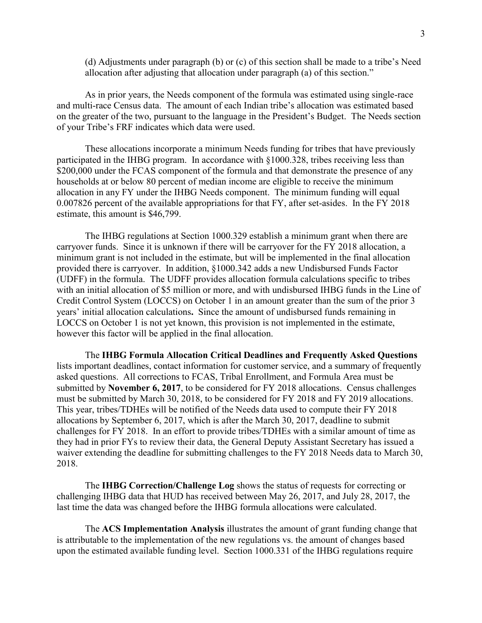(d) Adjustments under paragraph (b) or (c) of this section shall be made to a tribe's Need allocation after adjusting that allocation under paragraph (a) of this section."

As in prior years, the Needs component of the formula was estimated using single-race and multi-race Census data. The amount of each Indian tribe's allocation was estimated based on the greater of the two, pursuant to the language in the President's Budget. The Needs section of your Tribe's FRF indicates which data were used.

These allocations incorporate a minimum Needs funding for tribes that have previously participated in the IHBG program. In accordance with §1000.328, tribes receiving less than \$200,000 under the FCAS component of the formula and that demonstrate the presence of any households at or below 80 percent of median income are eligible to receive the minimum allocation in any FY under the IHBG Needs component. The minimum funding will equal 0.007826 percent of the available appropriations for that FY, after set-asides. In the FY 2018 estimate, this amount is \$46,799.

The IHBG regulations at Section 1000.329 establish a minimum grant when there are carryover funds. Since it is unknown if there will be carryover for the FY 2018 allocation, a minimum grant is not included in the estimate, but will be implemented in the final allocation provided there is carryover. In addition, §1000.342 adds a new Undisbursed Funds Factor (UDFF) in the formula. The UDFF provides allocation formula calculations specific to tribes with an initial allocation of \$5 million or more, and with undisbursed IHBG funds in the Line of Credit Control System (LOCCS) on October 1 in an amount greater than the sum of the prior 3 years' initial allocation calculations**.** Since the amount of undisbursed funds remaining in LOCCS on October 1 is not yet known, this provision is not implemented in the estimate, however this factor will be applied in the final allocation.

The **IHBG Formula Allocation Critical Deadlines and Frequently Asked Questions** lists important deadlines, contact information for customer service, and a summary of frequently asked questions. All corrections to FCAS, Tribal Enrollment, and Formula Area must be submitted by **November 6, 2017**, to be considered for FY 2018 allocations. Census challenges must be submitted by March 30, 2018, to be considered for FY 2018 and FY 2019 allocations. This year, tribes/TDHEs will be notified of the Needs data used to compute their FY 2018 allocations by September 6, 2017, which is after the March 30, 2017, deadline to submit challenges for FY 2018. In an effort to provide tribes/TDHEs with a similar amount of time as they had in prior FYs to review their data, the General Deputy Assistant Secretary has issued a waiver extending the deadline for submitting challenges to the FY 2018 Needs data to March 30, 2018.

The **IHBG Correction/Challenge Log** shows the status of requests for correcting or challenging IHBG data that HUD has received between May 26, 2017, and July 28, 2017, the last time the data was changed before the IHBG formula allocations were calculated.

The **ACS Implementation Analysis** illustrates the amount of grant funding change that is attributable to the implementation of the new regulations vs. the amount of changes based upon the estimated available funding level. Section 1000.331 of the IHBG regulations require